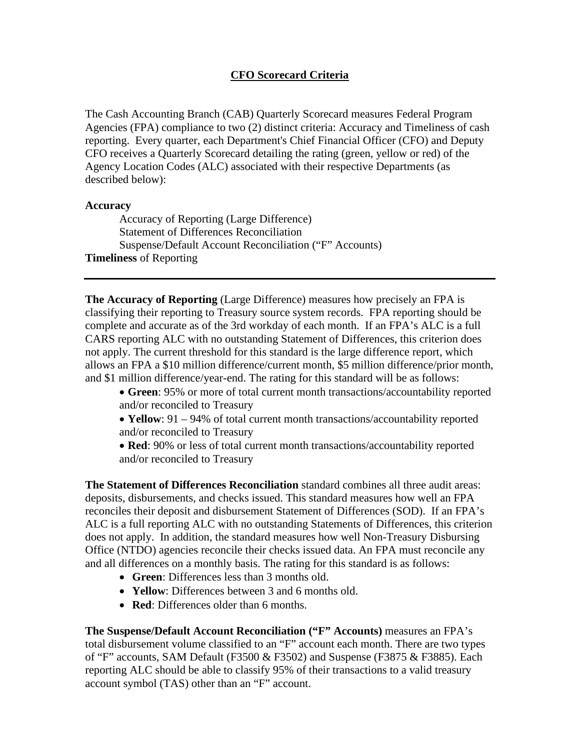## **CFO Scorecard Criteria**

The Cash Accounting Branch (CAB) Quarterly Scorecard measures Federal Program Agencies (FPA) compliance to two (2) distinct criteria: Accuracy and Timeliness of cash reporting. Every quarter, each Department's Chief Financial Officer (CFO) and Deputy CFO receives a Quarterly Scorecard detailing the rating (green, yellow or red) of the Agency Location Codes (ALC) associated with their respective Departments (as described below):

## **Accuracy**

Accuracy of Reporting (Large Difference) Statement of Differences Reconciliation Suspense/Default Account Reconciliation ("F" Accounts) **Timeliness** of Reporting

**The Accuracy of Reporting** (Large Difference) measures how precisely an FPA is classifying their reporting to Treasury source system records. FPA reporting should be complete and accurate as of the 3rd workday of each month. If an FPA's ALC is a full CARS reporting ALC with no outstanding Statement of Differences, this criterion does not apply. The current threshold for this standard is the large difference report, which allows an FPA a \$10 million difference/current month, \$5 million difference/prior month, and \$1 million difference/year-end. The rating for this standard will be as follows:

• **Green**: 95% or more of total current month transactions/accountability reported and/or reconciled to Treasury

• **Yellow**: 91 – 94% of total current month transactions/accountability reported and/or reconciled to Treasury

• **Red**: 90% or less of total current month transactions/accountability reported and/or reconciled to Treasury

**The Statement of Differences Reconciliation** standard combines all three audit areas: deposits, disbursements, and checks issued. This standard measures how well an FPA reconciles their deposit and disbursement Statement of Differences (SOD). If an FPA's ALC is a full reporting ALC with no outstanding Statements of Differences, this criterion does not apply. In addition, the standard measures how well Non-Treasury Disbursing Office (NTDO) agencies reconcile their checks issued data. An FPA must reconcile any and all differences on a monthly basis. The rating for this standard is as follows:

- **Green**: Differences less than 3 months old.
- **Yellow**: Differences between 3 and 6 months old.
- **Red**: Differences older than 6 months.

**The Suspense/Default Account Reconciliation ("F" Accounts)** measures an FPA's total disbursement volume classified to an "F" account each month. There are two types of "F" accounts, SAM Default (F3500 & F3502) and Suspense (F3875 & F3885). Each reporting ALC should be able to classify 95% of their transactions to a valid treasury account symbol (TAS) other than an "F" account.